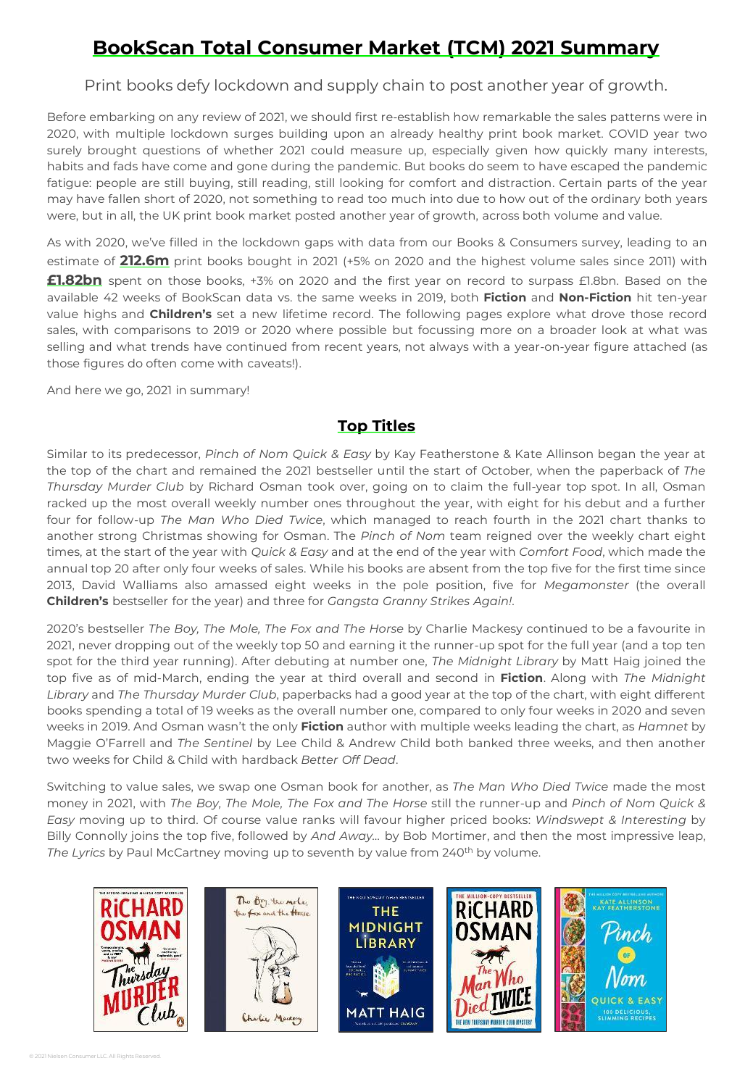# **BookScan Total Consumer Market (TCM) 2021 Summary**

Print books defy lockdown and supply chain to post another year of growth.

Before embarking on any review of 2021, we should first re-establish how remarkable the sales patterns were in 2020, with multiple lockdown surges building upon an already healthy print book market. COVID year two surely brought questions of whether 2021 could measure up, especially given how quickly many interests, habits and fads have come and gone during the pandemic. But books do seem to have escaped the pandemic fatigue: people are still buying, still reading, still looking for comfort and distraction. Certain parts of the year may have fallen short of 2020, not something to read too much into due to how out of the ordinary both years were, but in all, the UK print book market posted another year of growth, across both volume and value.

As with 2020, we've filled in the lockdown gaps with data from our Books & Consumers survey, leading to an estimate of **212.6m** print books bought in 2021 (+5% on 2020 and the highest volume sales since 2011) with **£1.82bn** spent on those books, +3% on 2020 and the first year on record to surpass £1.8bn. Based on the available 42 weeks of BookScan data vs. the same weeks in 2019, both **Fiction** and **Non-Fiction** hit ten-year value highs and **Children's** set a new lifetime record. The following pages explore what drove those record sales, with comparisons to 2019 or 2020 where possible but focussing more on a broader look at what was selling and what trends have continued from recent years, not always with a year-on-year figure attached (as those figures do often come with caveats!).

And here we go, 2021 in summary!

### **Top Titles**

Similar to its predecessor, *Pinch of Nom Quick & Easy* by Kay Featherstone & Kate Allinson began the year at the top of the chart and remained the 2021 bestseller until the start of October, when the paperback of *The Thursday Murder Club* by Richard Osman took over, going on to claim the full-year top spot. In all, Osman racked up the most overall weekly number ones throughout the year, with eight for his debut and a further four for follow-up *The Man Who Died Twice*, which managed to reach fourth in the 2021 chart thanks to another strong Christmas showing for Osman. The *Pinch of Nom* team reigned over the weekly chart eight times, at the start of the year with *Quick & Easy* and at the end of the year with *Comfort Food*, which made the annual top 20 after only four weeks of sales. While his books are absent from the top five for the first time since 2013, David Walliams also amassed eight weeks in the pole position, five for *Megamonster* (the overall **Children's** bestseller for the year) and three for *Gangsta Granny Strikes Again!*.

2020's bestseller *The Boy, The Mole, The Fox and The Horse* by Charlie Mackesy continued to be a favourite in 2021, never dropping out of the weekly top 50 and earning it the runner-up spot for the full year (and a top ten spot for the third year running). After debuting at number one, *The Midnight Library* by Matt Haig joined the top five as of mid-March, ending the year at third overall and second in **Fiction**. Along with *The Midnight Library* and *The Thursday Murder Club*, paperbacks had a good year at the top of the chart, with eight different books spending a total of 19 weeks as the overall number one, compared to only four weeks in 2020 and seven weeks in 2019. And Osman wasn't the only **Fiction** author with multiple weeks leading the chart, as *Hamnet* by Maggie O'Farrell and *The Sentinel* by Lee Child & Andrew Child both banked three weeks, and then another two weeks for Child & Child with hardback *Better Off Dead*.

Switching to value sales, we swap one Osman book for another, as *The Man Who Died Twice* made the most money in 2021, with *The Boy, The Mole, The Fox and The Horse* still the runner-up and *Pinch of Nom Quick & Easy* moving up to third. Of course value ranks will favour higher priced books: *Windswept & Interesting* by Billy Connolly joins the top five, followed by *And Away…* by Bob Mortimer, and then the most impressive leap, *The Lyrics* by Paul McCartney moving up to seventh by value from 240th by volume.

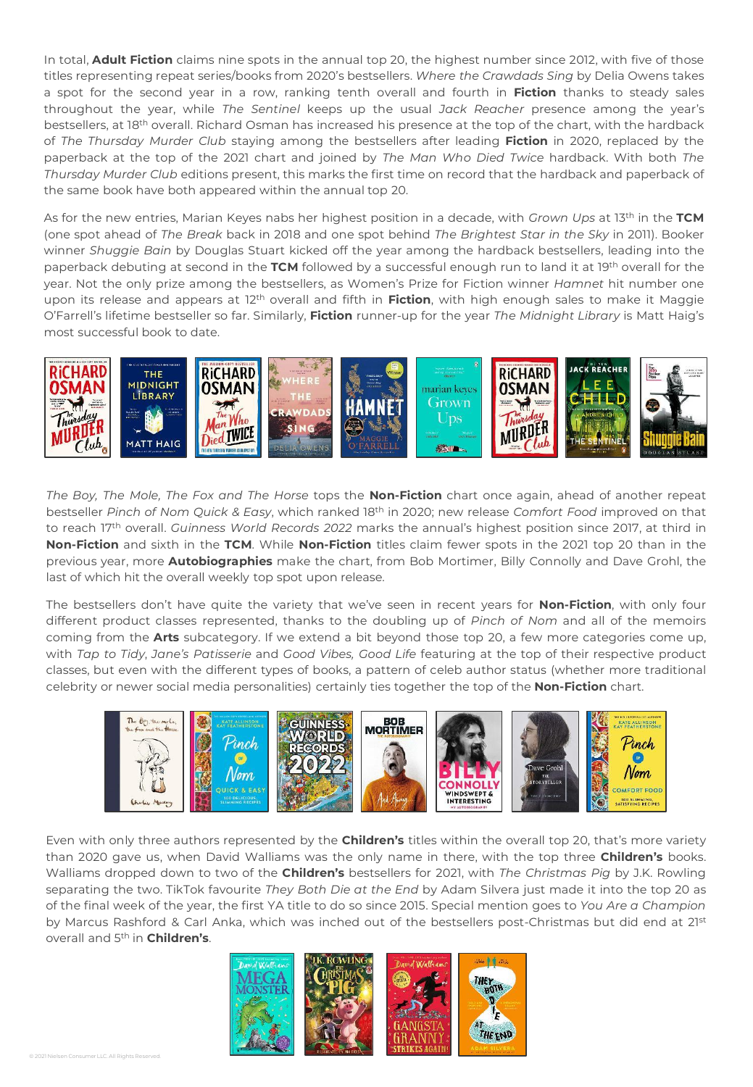In total, **Adult Fiction** claims nine spots in the annual top 20, the highest number since 2012, with five of those titles representing repeat series/books from 2020's bestsellers. *Where the Crawdads Sing* by Delia Owens takes a spot for the second year in a row, ranking tenth overall and fourth in **Fiction** thanks to steady sales throughout the year, while *The Sentinel* keeps up the usual *Jack Reacher* presence among the year's bestsellers, at 18th overall. Richard Osman has increased his presence at the top of the chart, with the hardback of *The Thursday Murder Club* staying among the bestsellers after leading **Fiction** in 2020, replaced by the paperback at the top of the 2021 chart and joined by *The Man Who Died Twice* hardback. With both *The Thursday Murder Club* editions present, this marks the first time on record that the hardback and paperback of the same book have both appeared within the annual top 20.

As for the new entries, Marian Keyes nabs her highest position in a decade, with *Grown Ups* at 13th in the **TCM** (one spot ahead of *The Break* back in 2018 and one spot behind *The Brightest Star in the Sky* in 2011). Booker winner *Shuggie Bain* by Douglas Stuart kicked off the year among the hardback bestsellers, leading into the paperback debuting at second in the **TCM** followed by a successful enough run to land it at 19th overall for the year. Not the only prize among the bestsellers, as Women's Prize for Fiction winner *Hamnet* hit number one upon its release and appears at 12th overall and fifth in **Fiction**, with high enough sales to make it Maggie O'Farrell's lifetime bestseller so far. Similarly, **Fiction** runner-up for the year *The Midnight Library* is Matt Haig's most successful book to date.



*The Boy, The Mole, The Fox and The Horse* tops the **Non-Fiction** chart once again, ahead of another repeat bestseller *Pinch of Nom Quick & Easy*, which ranked 18th in 2020; new release *Comfort Food* improved on that to reach 17th overall. *Guinness World Records 2022* marks the annual's highest position since 2017, at third in **Non-Fiction** and sixth in the **TCM**. While **Non-Fiction** titles claim fewer spots in the 2021 top 20 than in the previous year, more **Autobiographies** make the chart, from Bob Mortimer, Billy Connolly and Dave Grohl, the last of which hit the overall weekly top spot upon release.

The bestsellers don't have quite the variety that we've seen in recent years for **Non-Fiction**, with only four different product classes represented, thanks to the doubling up of *Pinch of Nom* and all of the memoirs coming from the **Arts** subcategory. If we extend a bit beyond those top 20, a few more categories come up, with *Tap to Tidy*, *Jane's Patisserie* and *Good Vibes, Good Life* featuring at the top of their respective product classes, but even with the different types of books, a pattern of celeb author status (whether more traditional celebrity or newer social media personalities) certainly ties together the top of the **Non-Fiction** chart.



Even with only three authors represented by the **Children's** titles within the overall top 20, that's more variety than 2020 gave us, when David Walliams was the only name in there, with the top three **Children's** books. Walliams dropped down to two of the **Children's** bestsellers for 2021, with *The Christmas Pig* by J.K. Rowling separating the two. TikTok favourite *They Both Die at the End* by Adam Silvera just made it into the top 20 as of the final week of the year, the first YA title to do so since 2015. Special mention goes to *You Are a Champion* by Marcus Rashford & Carl Anka, which was inched out of the bestsellers post-Christmas but did end at 21st overall and 5 th in **Children's**.

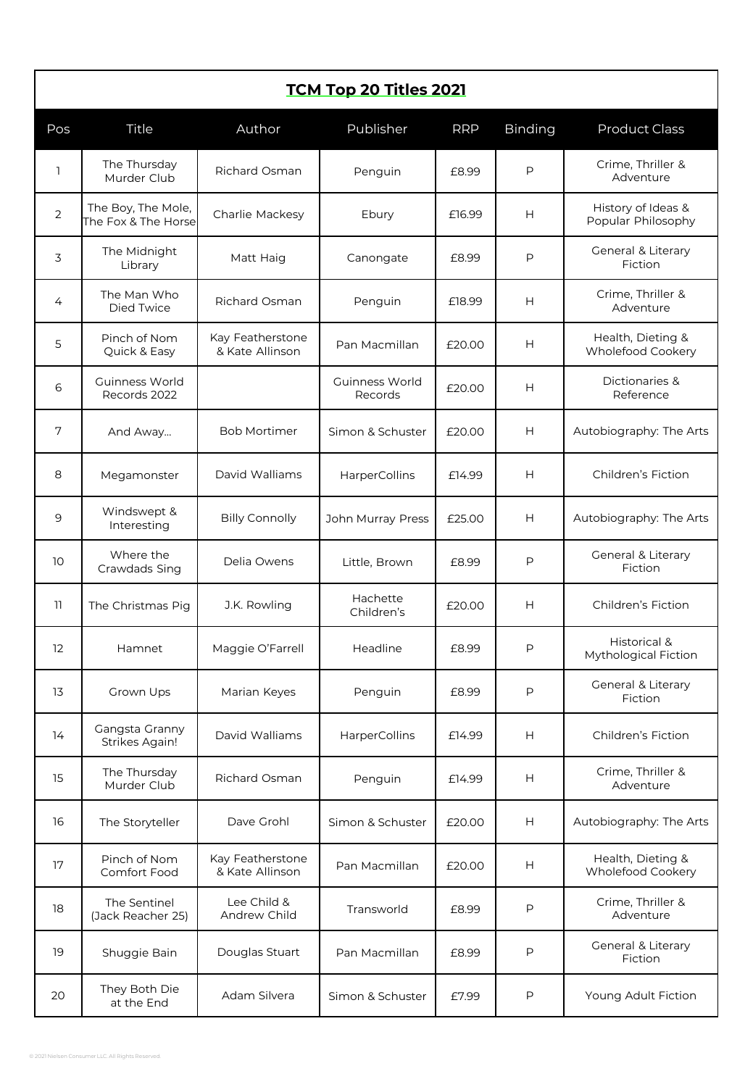| <b>TCM Top 20 Titles 2021</b> |                                           |                                     |                           |            |                |                                          |  |  |  |  |
|-------------------------------|-------------------------------------------|-------------------------------------|---------------------------|------------|----------------|------------------------------------------|--|--|--|--|
| Pos                           | Title                                     | Author                              | Publisher                 | <b>RRP</b> | <b>Binding</b> | <b>Product Class</b>                     |  |  |  |  |
| 1                             | The Thursday<br>Murder Club               | Richard Osman                       | Penguin                   | £8.99      | P              | Crime, Thriller &<br>Adventure           |  |  |  |  |
| 2                             | The Boy, The Mole,<br>The Fox & The Horse | Charlie Mackesy                     | Ebury                     | £16.99     | Н              | History of Ideas &<br>Popular Philosophy |  |  |  |  |
| 3                             | The Midnight<br>Library                   | Matt Haig                           | Canongate                 | £8.99      | P              | General & Literary<br>Fiction            |  |  |  |  |
| 4                             | The Man Who<br>Died Twice                 | Richard Osman                       | Penguin                   | £18.99     | Н              | Crime, Thriller &<br>Adventure           |  |  |  |  |
| 5                             | Pinch of Nom<br>Quick & Easy              | Kay Featherstone<br>& Kate Allinson | Pan Macmillan             | £20.00     | н              | Health, Dieting &<br>Wholefood Cookery   |  |  |  |  |
| 6                             | Guinness World<br>Records 2022            |                                     | Guinness World<br>Records | £20.00     | Н              | Dictionaries &<br>Reference              |  |  |  |  |
| 7                             | And Away                                  | <b>Bob Mortimer</b>                 | Simon & Schuster          | £20.00     | Н              | Autobiography: The Arts                  |  |  |  |  |
| 8                             | Megamonster                               | David Walliams                      | HarperCollins             | £14.99     | Н              | Children's Fiction                       |  |  |  |  |
| 9                             | Windswept &<br>Interesting                | <b>Billy Connolly</b>               | John Murray Press         | £25.00     | Н              | Autobiography: The Arts                  |  |  |  |  |
| 10                            | Where the<br>Crawdads Sing                | Delia Owens                         | Little, Brown             | £8.99      | P              | General & Literary<br>Fiction            |  |  |  |  |
| 11                            | The Christmas Pig                         | J.K. Rowling                        | Hachette<br>Children's    | £20.00     | Н              | Children's Fiction                       |  |  |  |  |
| $12 \overline{ }$             | Hamnet                                    | Maggie O'Farrell                    | Headline                  | £8.99      | P              | Historical &<br>Mythological Fiction     |  |  |  |  |
| 13                            | Grown Ups                                 | Marian Keyes                        | Penguin                   | £8.99      | P              | General & Literary<br>Fiction            |  |  |  |  |
| 14                            | Gangsta Granny<br><b>Strikes Again!</b>   | David Walliams                      | HarperCollins             | £14.99     | Н              | Children's Fiction                       |  |  |  |  |
| 15                            | The Thursday<br>Murder Club               | Richard Osman                       | Penguin                   | £14.99     | н              | Crime, Thriller &<br>Adventure           |  |  |  |  |
| 16                            | The Storyteller                           | Dave Grohl                          | Simon & Schuster          | £20.00     | Н              | Autobiography: The Arts                  |  |  |  |  |
| 17                            | Pinch of Nom<br>Comfort Food              | Kay Featherstone<br>& Kate Allinson | Pan Macmillan             | £20.00     | Н              | Health, Dieting &<br>Wholefood Cookery   |  |  |  |  |
| 18                            | The Sentinel<br>(Jack Reacher 25)         | Lee Child &<br>Andrew Child         | Transworld                | £8.99      | Ρ              | Crime, Thriller &<br>Adventure           |  |  |  |  |
| 19                            | Shuggie Bain                              | Douglas Stuart                      | Pan Macmillan             | £8.99      | P              | General & Literary<br>Fiction            |  |  |  |  |
| 20                            | They Both Die<br>at the End               | Adam Silvera                        | Simon & Schuster          | £7.99      | Ρ              | Young Adult Fiction                      |  |  |  |  |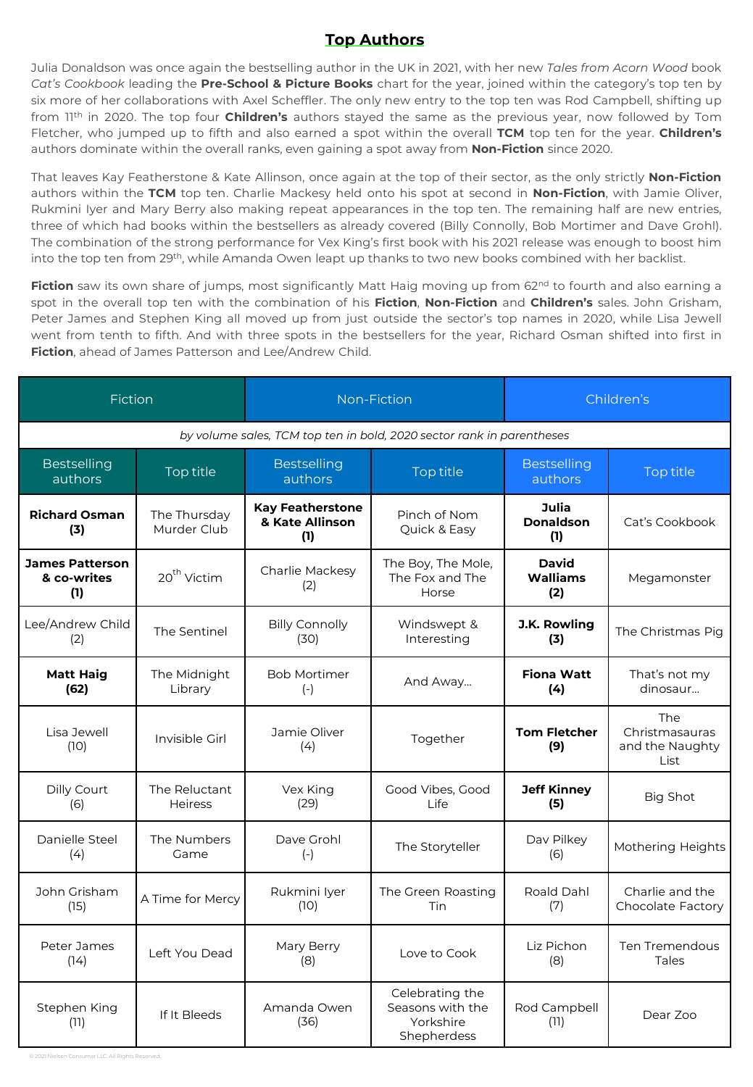## **Top Authors**

Julia Donaldson was once again the bestselling author in the UK in 2021, with her new *Tales from Acorn Wood* book *Cat's Cookbook* leading the **Pre-School & Picture Books** chart for the year, joined within the category's top ten by six more of her collaborations with Axel Scheffler. The only new entry to the top ten was Rod Campbell, shifting up from 11th in 2020. The top four **Children's** authors stayed the same as the previous year, now followed by Tom Fletcher, who jumped up to fifth and also earned a spot within the overall **TCM** top ten for the year. **Children's** authors dominate within the overall ranks, even gaining a spot away from **Non-Fiction** since 2020.

That leaves Kay Featherstone & Kate Allinson, once again at the top of their sector, as the only strictly **Non-Fiction** authors within the **TCM** top ten. Charlie Mackesy held onto his spot at second in **Non-Fiction**, with Jamie Oliver, Rukmini Iyer and Mary Berry also making repeat appearances in the top ten. The remaining half are new entries, three of which had books within the bestsellers as already covered (Billy Connolly, Bob Mortimer and Dave Grohl). The combination of the strong performance for Vex King's first book with his 2021 release was enough to boost him into the top ten from 29th, while Amanda Owen leapt up thanks to two new books combined with her backlist.

**Fiction** saw its own share of jumps, most significantly Matt Haig moving up from 62<sup>nd</sup> to fourth and also earning a spot in the overall top ten with the combination of his **Fiction**, **Non-Fiction** and **Children's** sales. John Grisham, Peter James and Stephen King all moved up from just outside the sector's top names in 2020, while Lisa Jewell went from tenth to fifth. And with three spots in the bestsellers for the year, Richard Osman shifted into first in **Fiction**, ahead of James Patterson and Lee/Andrew Child.

| Fiction                                                               |                                 |                                                   | Non-Fiction                                                     | Children's                             |                                                         |  |  |  |  |  |  |
|-----------------------------------------------------------------------|---------------------------------|---------------------------------------------------|-----------------------------------------------------------------|----------------------------------------|---------------------------------------------------------|--|--|--|--|--|--|
| by volume sales, TCM top ten in bold, 2020 sector rank in parentheses |                                 |                                                   |                                                                 |                                        |                                                         |  |  |  |  |  |  |
| <b>Bestselling</b><br>authors                                         | Top title                       | <b>Bestselling</b><br>authors                     | Top title                                                       | <b>Bestselling</b><br>authors          | Top title                                               |  |  |  |  |  |  |
| <b>Richard Osman</b><br>(3)                                           | The Thursday<br>Murder Club     | <b>Kay Featherstone</b><br>& Kate Allinson<br>(1) | Pinch of Nom<br>Quick & Easy                                    | Julia<br><b>Donaldson</b><br>(1)       | Cat's Cookbook                                          |  |  |  |  |  |  |
| <b>James Patterson</b><br>& co-writes<br>(1)                          | 20 <sup>th</sup> Victim         | Charlie Mackesy<br>(2)                            | The Boy, The Mole,<br>The Fox and The<br>Horse                  | <b>David</b><br><b>Walliams</b><br>(2) | Megamonster                                             |  |  |  |  |  |  |
| Lee/Andrew Child<br>(2)                                               | The Sentinel                    | <b>Billy Connolly</b><br>(30)                     | Windswept &<br>Interesting                                      | <b>J.K. Rowling</b><br>(3)             | The Christmas Pig                                       |  |  |  |  |  |  |
| <b>Matt Haig</b><br>(62)                                              | The Midnight<br>Library         | <b>Bob Mortimer</b><br>$(-)$                      | And Away                                                        | <b>Fiona Watt</b><br>(4)               | That's not my<br>dinosaur                               |  |  |  |  |  |  |
| Lisa Jewell<br>(10)                                                   | Invisible Girl                  | Jamie Oliver<br>(4)                               | Together                                                        | <b>Tom Fletcher</b><br>(9)             | <b>The</b><br>Christmasauras<br>and the Naughty<br>List |  |  |  |  |  |  |
| Dilly Court<br>(6)                                                    | The Reluctant<br><b>Heiress</b> | Vex King<br>(29)                                  | Good Vibes, Good<br>Life                                        | <b>Jeff Kinney</b><br>(5)              | <b>Big Shot</b>                                         |  |  |  |  |  |  |
| Danielle Steel<br>(4)                                                 | The Numbers<br>Game             | Dave Grohl<br>$(-)$                               | The Storyteller                                                 | Dav Pilkey<br>(6)                      | Mothering Heights                                       |  |  |  |  |  |  |
| John Grisham<br>(15)                                                  | A Time for Mercy                | Rukmini Iyer<br>(10)                              | The Green Roasting<br>Tin                                       | Roald Dahl<br>(7)                      | Charlie and the<br>Chocolate Factory                    |  |  |  |  |  |  |
| Peter James<br>(14)                                                   | Left You Dead                   | Mary Berry<br>(8)                                 | Love to Cook                                                    | Liz Pichon<br>(8)                      | <b>Ten Tremendous</b><br>Tales                          |  |  |  |  |  |  |
| Stephen King<br>(11)                                                  | If It Bleeds                    | Amanda Owen<br>(36)                               | Celebrating the<br>Seasons with the<br>Yorkshire<br>Shepherdess | Rod Campbell<br>(11)                   | Dear Zoo                                                |  |  |  |  |  |  |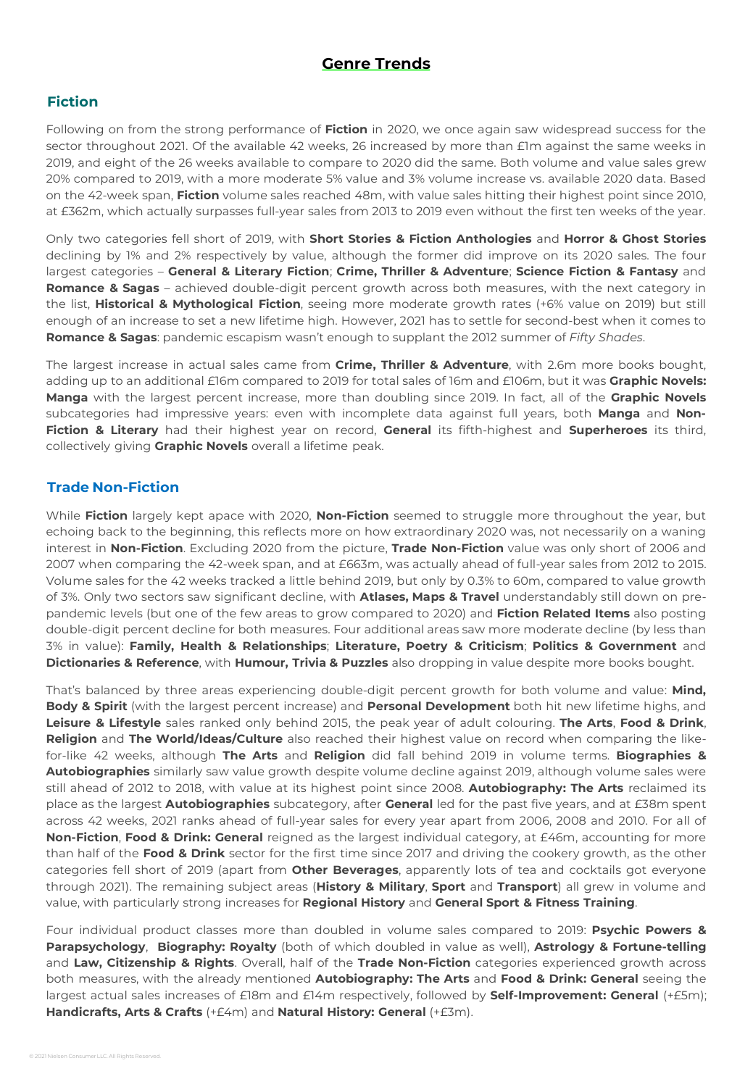### **Genre Trends**

#### **Fiction**

Following on from the strong performance of **Fiction** in 2020, we once again saw widespread success for the sector throughout 2021. Of the available 42 weeks, 26 increased by more than £1m against the same weeks in 2019, and eight of the 26 weeks available to compare to 2020 did the same. Both volume and value sales grew 20% compared to 2019, with a more moderate 5% value and 3% volume increase vs. available 2020 data. Based on the 42-week span, **Fiction** volume sales reached 48m, with value sales hitting their highest point since 2010, at £362m, which actually surpasses full-year sales from 2013 to 2019 even without the first ten weeks of the year.

Only two categories fell short of 2019, with **Short Stories & Fiction Anthologies** and **Horror & Ghost Stories** declining by 1% and 2% respectively by value, although the former did improve on its 2020 sales. The four largest categories – **General & Literary Fiction**; **Crime, Thriller & Adventure**; **Science Fiction & Fantasy** and **Romance & Sagas** – achieved double-digit percent growth across both measures, with the next category in the list, **Historical & Mythological Fiction**, seeing more moderate growth rates (+6% value on 2019) but still enough of an increase to set a new lifetime high. However, 2021 has to settle for second-best when it comes to **Romance & Sagas**: pandemic escapism wasn't enough to supplant the 2012 summer of *Fifty Shades*.

The largest increase in actual sales came from **Crime, Thriller & Adventure**, with 2.6m more books bought, adding up to an additional £16m compared to 2019 for total sales of 16m and £106m, but it was **Graphic Novels: Manga** with the largest percent increase, more than doubling since 2019. In fact, all of the **Graphic Novels** subcategories had impressive years: even with incomplete data against full years, both **Manga** and **Non-Fiction & Literary** had their highest year on record, **General** its fifth-highest and **Superheroes** its third, collectively giving **Graphic Novels** overall a lifetime peak.

#### **Trade Non-Fiction**

While **Fiction** largely kept apace with 2020, **Non-Fiction** seemed to struggle more throughout the year, but echoing back to the beginning, this reflects more on how extraordinary 2020 was, not necessarily on a waning interest in **Non-Fiction**. Excluding 2020 from the picture, **Trade Non-Fiction** value was only short of 2006 and 2007 when comparing the 42-week span, and at £663m, was actually ahead of full-year sales from 2012 to 2015. Volume sales for the 42 weeks tracked a little behind 2019, but only by 0.3% to 60m, compared to value growth of 3%. Only two sectors saw significant decline, with **Atlases, Maps & Travel** understandably still down on prepandemic levels (but one of the few areas to grow compared to 2020) and **Fiction Related Items** also posting double-digit percent decline for both measures. Four additional areas saw more moderate decline (by less than 3% in value): **Family, Health & Relationships**; **Literature, Poetry & Criticism**; **Politics & Government** and **Dictionaries & Reference**, with **Humour, Trivia & Puzzles** also dropping in value despite more books bought.

That's balanced by three areas experiencing double-digit percent growth for both volume and value: **Mind, Body & Spirit** (with the largest percent increase) and **Personal Development** both hit new lifetime highs, and **Leisure & Lifestyle** sales ranked only behind 2015, the peak year of adult colouring. **The Arts**, **Food & Drink**, **Religion** and **The World/Ideas/Culture** also reached their highest value on record when comparing the likefor-like 42 weeks, although **The Arts** and **Religion** did fall behind 2019 in volume terms. **Biographies & Autobiographies** similarly saw value growth despite volume decline against 2019, although volume sales were still ahead of 2012 to 2018, with value at its highest point since 2008. **Autobiography: The Arts** reclaimed its place as the largest **Autobiographies** subcategory, after **General** led for the past five years, and at £38m spent across 42 weeks, 2021 ranks ahead of full-year sales for every year apart from 2006, 2008 and 2010. For all of **Non-Fiction**, **Food & Drink: General** reigned as the largest individual category, at £46m, accounting for more than half of the **Food & Drink** sector for the first time since 2017 and driving the cookery growth, as the other categories fell short of 2019 (apart from **Other Beverages**, apparently lots of tea and cocktails got everyone through 2021). The remaining subject areas (**History & Military**, **Sport** and **Transport**) all grew in volume and value, with particularly strong increases for **Regional History** and **General Sport & Fitness Training**.

Four individual product classes more than doubled in volume sales compared to 2019: **Psychic Powers & Parapsychology**, **Biography: Royalty** (both of which doubled in value as well), **Astrology & Fortune-telling** and **Law, Citizenship & Rights**. Overall, half of the **Trade Non-Fiction** categories experienced growth across both measures, with the already mentioned **Autobiography: The Arts** and **Food & Drink: General** seeing the largest actual sales increases of £18m and £14m respectively, followed by **Self-Improvement: General** (+£5m); **Handicrafts, Arts & Crafts** (+£4m) and **Natural History: General** (+£3m).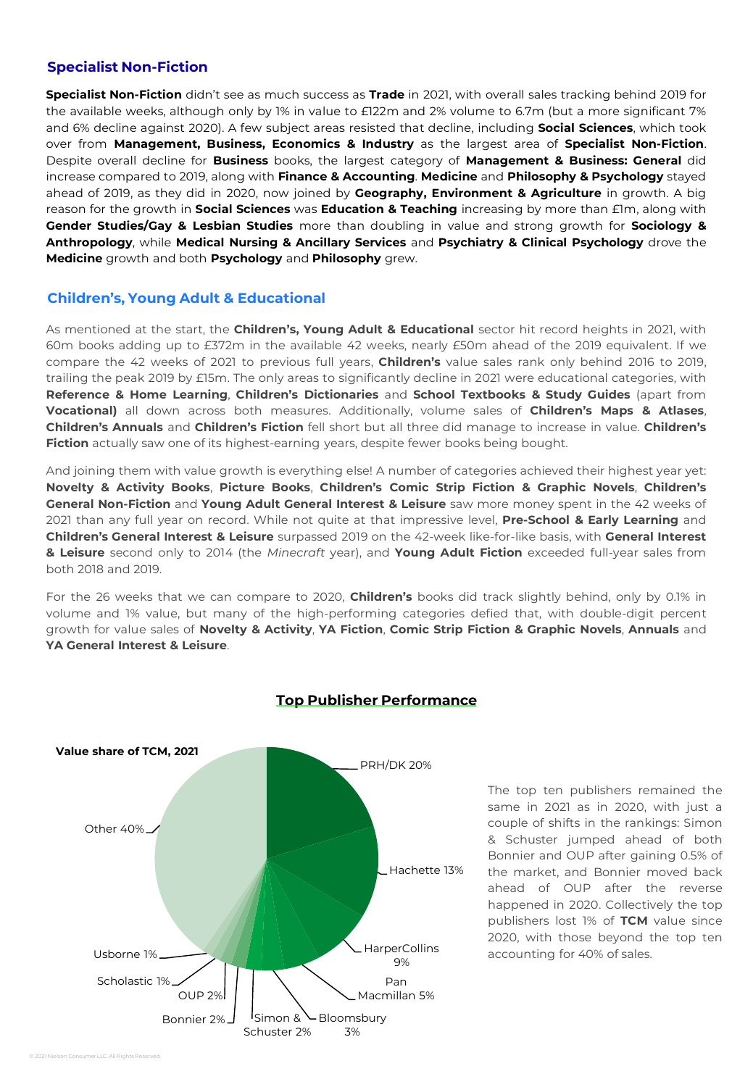#### **Specialist Non-Fiction**

**Specialist Non-Fiction** didn't see as much success as **Trade** in 2021, with overall sales tracking behind 2019 for the available weeks, although only by 1% in value to £122m and 2% volume to 6.7m (but a more significant 7% and 6% decline against 2020). A few subject areas resisted that decline, including **Social Sciences**, which took over from **Management, Business, Economics & Industry** as the largest area of **Specialist Non-Fiction**. Despite overall decline for **Business** books, the largest category of **Management & Business: General** did increase compared to 2019, along with **Finance & Accounting**. **Medicine** and **Philosophy & Psychology** stayed ahead of 2019, as they did in 2020, now joined by **Geography, Environment & Agriculture** in growth. A big reason for the growth in **Social Sciences** was **Education & Teaching** increasing by more than £1m, along with **Gender Studies/Gay & Lesbian Studies** more than doubling in value and strong growth for **Sociology & Anthropology**, while **Medical Nursing & Ancillary Services** and **Psychiatry & Clinical Psychology** drove the **Medicine** growth and both **Psychology** and **Philosophy** grew.

#### **Children's, Young Adult & Educational**

As mentioned at the start, the **Children's, Young Adult & Educational** sector hit record heights in 2021, with 60m books adding up to £372m in the available 42 weeks, nearly £50m ahead of the 2019 equivalent. If we compare the 42 weeks of 2021 to previous full years, **Children's** value sales rank only behind 2016 to 2019, trailing the peak 2019 by £15m. The only areas to significantly decline in 2021 were educational categories, with **Reference & Home Learning**, **Children's Dictionaries** and **School Textbooks & Study Guides** (apart from **Vocational)** all down across both measures. Additionally, volume sales of **Children's Maps & Atlases**, **Children's Annuals** and **Children's Fiction** fell short but all three did manage to increase in value. **Children's Fiction** actually saw one of its highest-earning years, despite fewer books being bought.

And joining them with value growth is everything else! A number of categories achieved their highest year yet: **Novelty & Activity Books**, **Picture Books**, **Children's Comic Strip Fiction & Graphic Novels**, **Children's General Non-Fiction** and **Young Adult General Interest & Leisure** saw more money spent in the 42 weeks of 2021 than any full year on record. While not quite at that impressive level, **Pre-School & Early Learning** and **Children's General Interest & Leisure** surpassed 2019 on the 42-week like-for-like basis, with **General Interest & Leisure** second only to 2014 (the *Minecraft* year), and **Young Adult Fiction** exceeded full-year sales from both 2018 and 2019.

For the 26 weeks that we can compare to 2020, **Children's** books did track slightly behind, only by 0.1% in volume and 1% value, but many of the high-performing categories defied that, with double-digit percent growth for value sales of **Novelty & Activity**, **YA Fiction**, **Comic Strip Fiction & Graphic Novels**, **Annuals** and **YA General Interest & Leisure**.



#### **Top Publisher Performance**

The top ten publishers remained the same in 2021 as in 2020, with just a couple of shifts in the rankings: Simon & Schuster jumped ahead of both Bonnier and OUP after gaining 0.5% of the market, and Bonnier moved back ahead of OUP after the reverse happened in 2020. Collectively the top publishers lost 1% of **TCM** value since 2020, with those beyond the top ten accounting for 40% of sales.